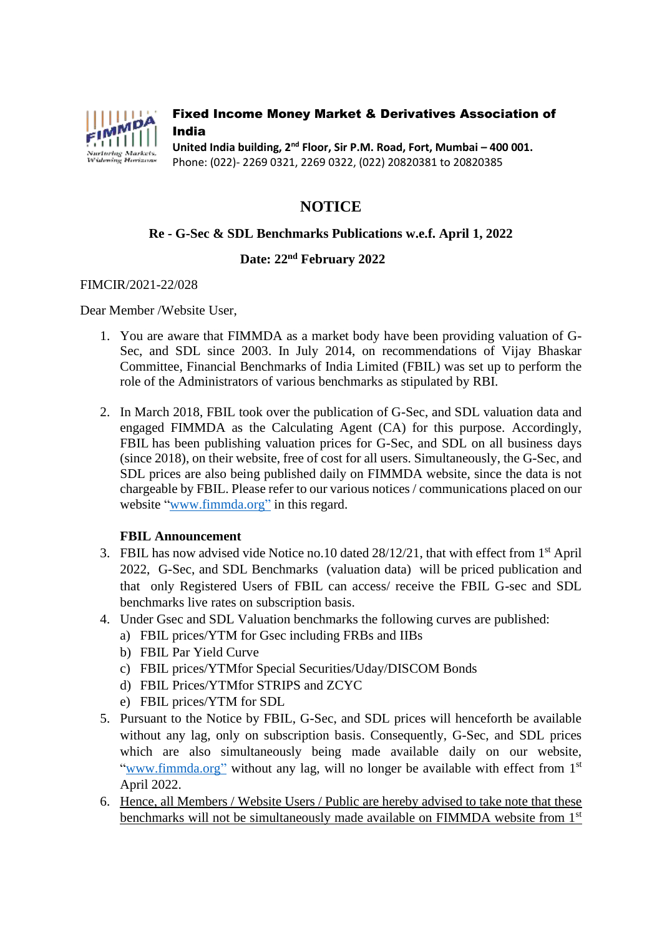

## Fixed Income Money Market & Derivatives Association of India

**United India building, 2nd Floor, Sir P.M. Road, Fort, Mumbai – 400 001.** Phone: (022)- 2269 0321, 2269 0322, (022) 20820381 to 20820385

# **NOTICE**

# **Re - G-Sec & SDL Benchmarks Publications w.e.f. April 1, 2022**

# **Date: 22 nd February 2022**

#### FIMCIR/2021-22/028

Dear Member /Website User,

- 1. You are aware that FIMMDA as a market body have been providing valuation of G-Sec, and SDL since 2003. In July 2014, on recommendations of Vijay Bhaskar Committee, Financial Benchmarks of India Limited (FBIL) was set up to perform the role of the Administrators of various benchmarks as stipulated by RBI.
- 2. In March 2018, FBIL took over the publication of G-Sec, and SDL valuation data and engaged FIMMDA as the Calculating Agent (CA) for this purpose. Accordingly, FBIL has been publishing valuation prices for G-Sec, and SDL on all business days (since 2018), on their website, free of cost for all users. Simultaneously, the G-Sec, and SDL prices are also being published daily on FIMMDA website, since the data is not chargeable by FBIL. Please refer to our various notices / communications placed on our website ["www.fimmda.org"](http://www.fimmda.org/) in this regard.

### **FBIL Announcement**

- 3. FBIL has now advised vide Notice no.10 dated 28/12/21, that with effect from 1st April 2022, G-Sec, and SDL Benchmarks (valuation data) will be priced publication and that only Registered Users of FBIL can access/ receive the FBIL G-sec and SDL benchmarks live rates on subscription basis.
- 4. Under Gsec and SDL Valuation benchmarks the following curves are published:
	- a) FBIL prices/YTM for Gsec including FRBs and IIBs
	- b) FBIL Par Yield Curve
	- c) FBIL prices/YTMfor Special Securities/Uday/DISCOM Bonds
	- d) FBIL Prices/YTMfor STRIPS and ZCYC
	- e) FBIL prices/YTM for SDL
- 5. Pursuant to the Notice by FBIL, G-Sec, and SDL prices will henceforth be available without any lag, only on subscription basis. Consequently, G-Sec, and SDL prices which are also simultaneously being made available daily on our website, ["www.fimmda.org"](http://www.fimmda.org/) without any lag, will no longer be available with effect from 1<sup>st</sup> April 2022.
- 6. Hence, all Members / Website Users / Public are hereby advised to take note that these benchmarks will not be simultaneously made available on FIMMDA website from 1<sup>st</sup>